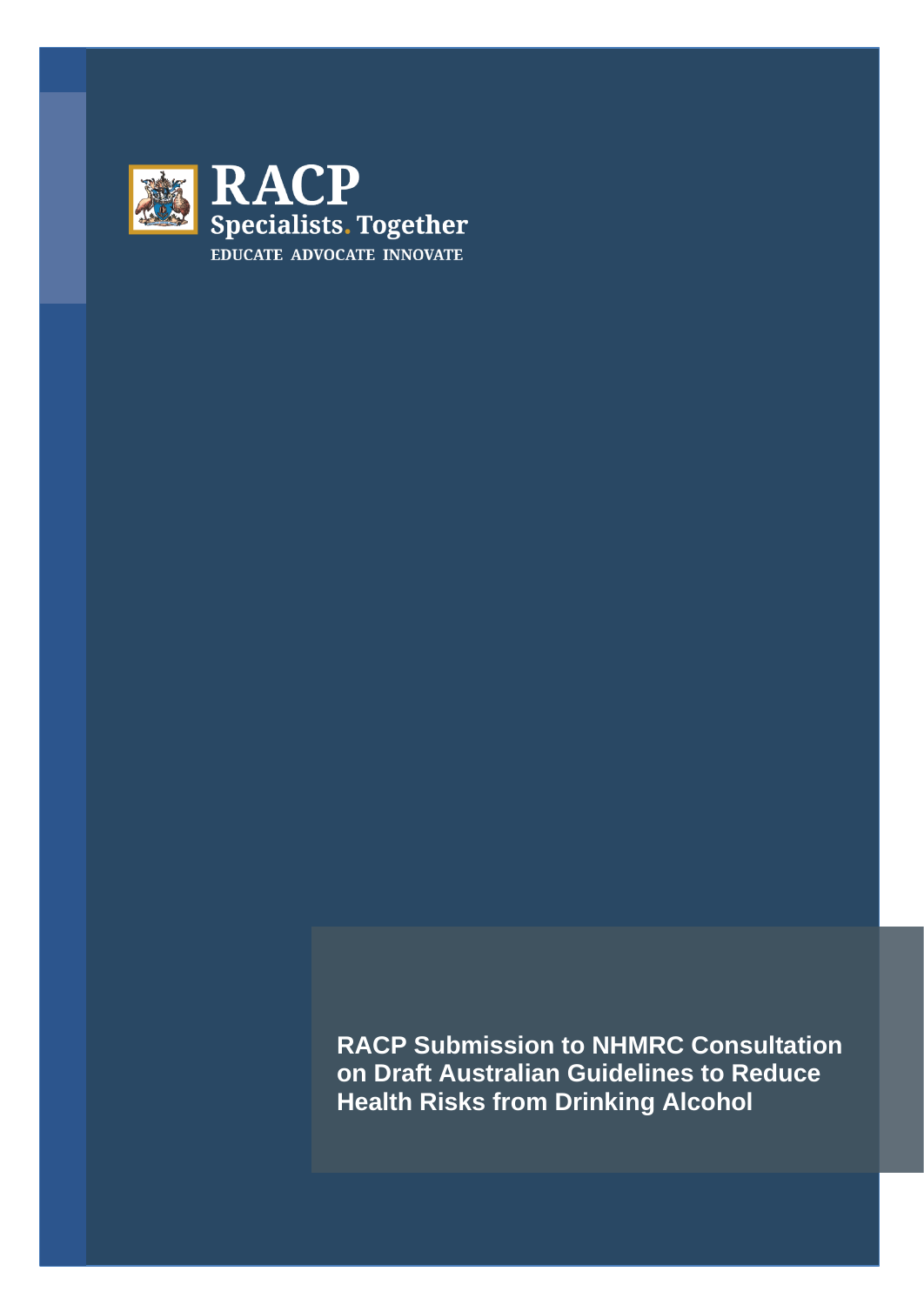

**RACP Submission to NHMRC Consultation on Draft Australian Guidelines to Reduce Health Risks from Drinking Alcohol**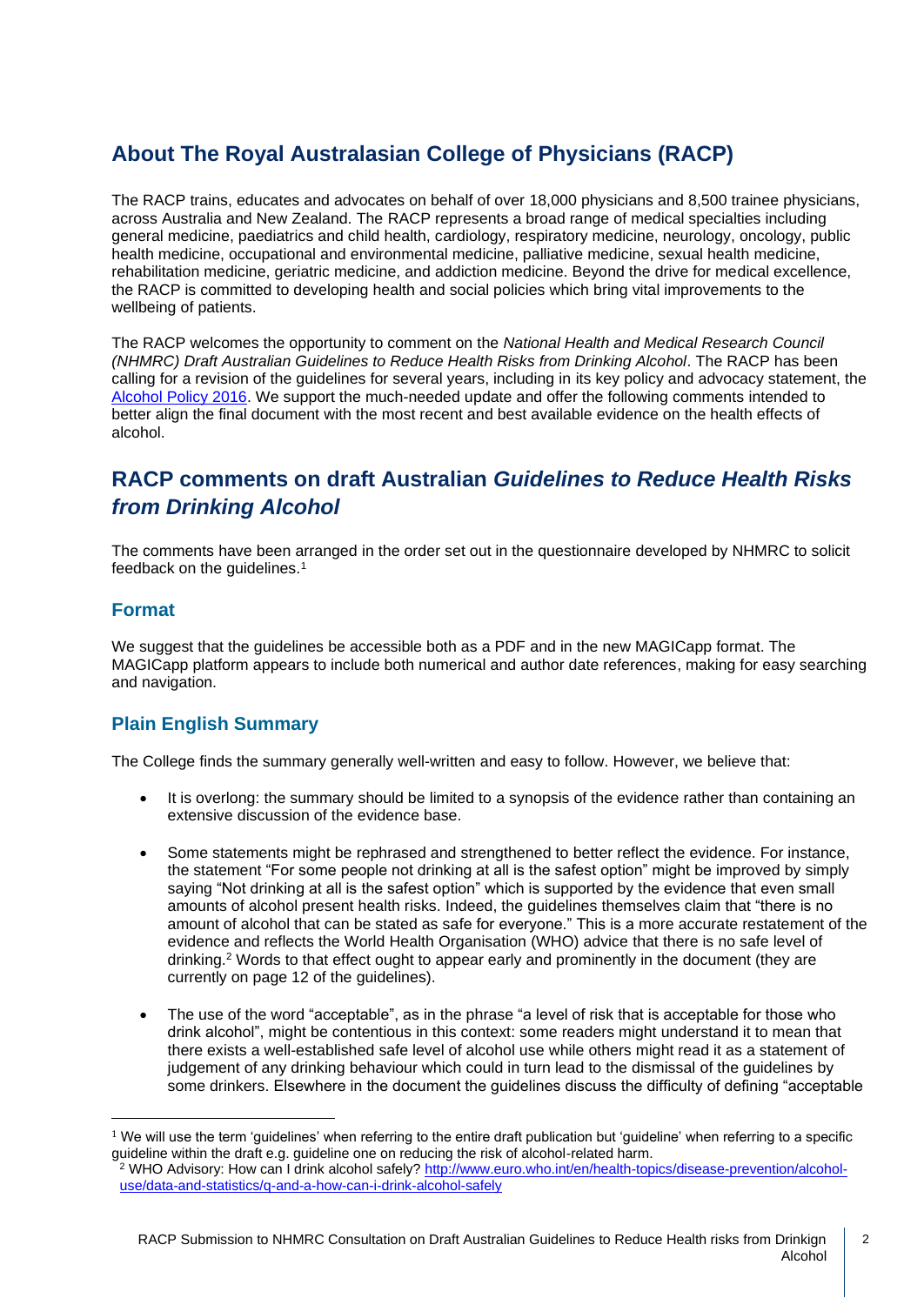# **About The Royal Australasian College of Physicians (RACP)**

The RACP trains, educates and advocates on behalf of over 18,000 physicians and 8,500 trainee physicians, across Australia and New Zealand. The RACP represents a broad range of medical specialties including general medicine, paediatrics and child health, cardiology, respiratory medicine, neurology, oncology, public health medicine, occupational and environmental medicine, palliative medicine, sexual health medicine, rehabilitation medicine, geriatric medicine, and addiction medicine. Beyond the drive for medical excellence, the RACP is committed to developing health and social policies which bring vital improvements to the wellbeing of patients.

The RACP welcomes the opportunity to comment on the *National Health and Medical Research Council (NHMRC) Draft Australian Guidelines to Reduce Health Risks from Drinking Alcohol*. The RACP has been calling for a revision of the guidelines for several years, including in its key policy and advocacy statement, the [Alcohol Policy 2016.](https://www.racp.edu.au/docs/default-source/advocacy-library/pa-racp-ranzcp-alcohol-policy.pdf) We support the much-needed update and offer the following comments intended to better align the final document with the most recent and best available evidence on the health effects of alcohol.

## **RACP comments on draft Australian** *Guidelines to Reduce Health Risks from Drinking Alcohol*

The comments have been arranged in the order set out in the questionnaire developed by NHMRC to solicit feedback on the guidelines.<sup>1</sup>

### **Format**

We suggest that the guidelines be accessible both as a PDF and in the new MAGICapp format. The MAGICapp platform appears to include both numerical and author date references, making for easy searching and navigation.

## **Plain English Summary**

The College finds the summary generally well-written and easy to follow. However, we believe that:

- It is overlong: the summary should be limited to a synopsis of the evidence rather than containing an extensive discussion of the evidence base.
- Some statements might be rephrased and strengthened to better reflect the evidence. For instance, the statement "For some people not drinking at all is the safest option" might be improved by simply saying "Not drinking at all is the safest option" which is supported by the evidence that even small amounts of alcohol present health risks. Indeed, the guidelines themselves claim that "there is no amount of alcohol that can be stated as safe for everyone." This is a more accurate restatement of the evidence and reflects the World Health Organisation (WHO) advice that there is no safe level of drinking. <sup>2</sup> Words to that effect ought to appear early and prominently in the document (they are currently on page 12 of the guidelines).
- The use of the word "acceptable", as in the phrase "a level of risk that is acceptable for those who drink alcohol", might be contentious in this context: some readers might understand it to mean that there exists a well-established safe level of alcohol use while others might read it as a statement of judgement of any drinking behaviour which could in turn lead to the dismissal of the guidelines by some drinkers. Elsewhere in the document the guidelines discuss the difficulty of defining "acceptable

 $1$  We will use the term 'guidelines' when referring to the entire draft publication but 'guideline' when referring to a specific guideline within the draft e.g. guideline one on reducing the risk of alcohol-related harm.

<sup>&</sup>lt;sup>2</sup> WHO Advisory: How can I drink alcohol safely[? http://www.euro.who.int/en/health-topics/disease-prevention/alcohol](http://www.euro.who.int/en/health-topics/disease-prevention/alcohol-use/data-and-statistics/q-and-a-how-can-i-drink-alcohol-safely)[use/data-and-statistics/q-and-a-how-can-i-drink-alcohol-safely](http://www.euro.who.int/en/health-topics/disease-prevention/alcohol-use/data-and-statistics/q-and-a-how-can-i-drink-alcohol-safely)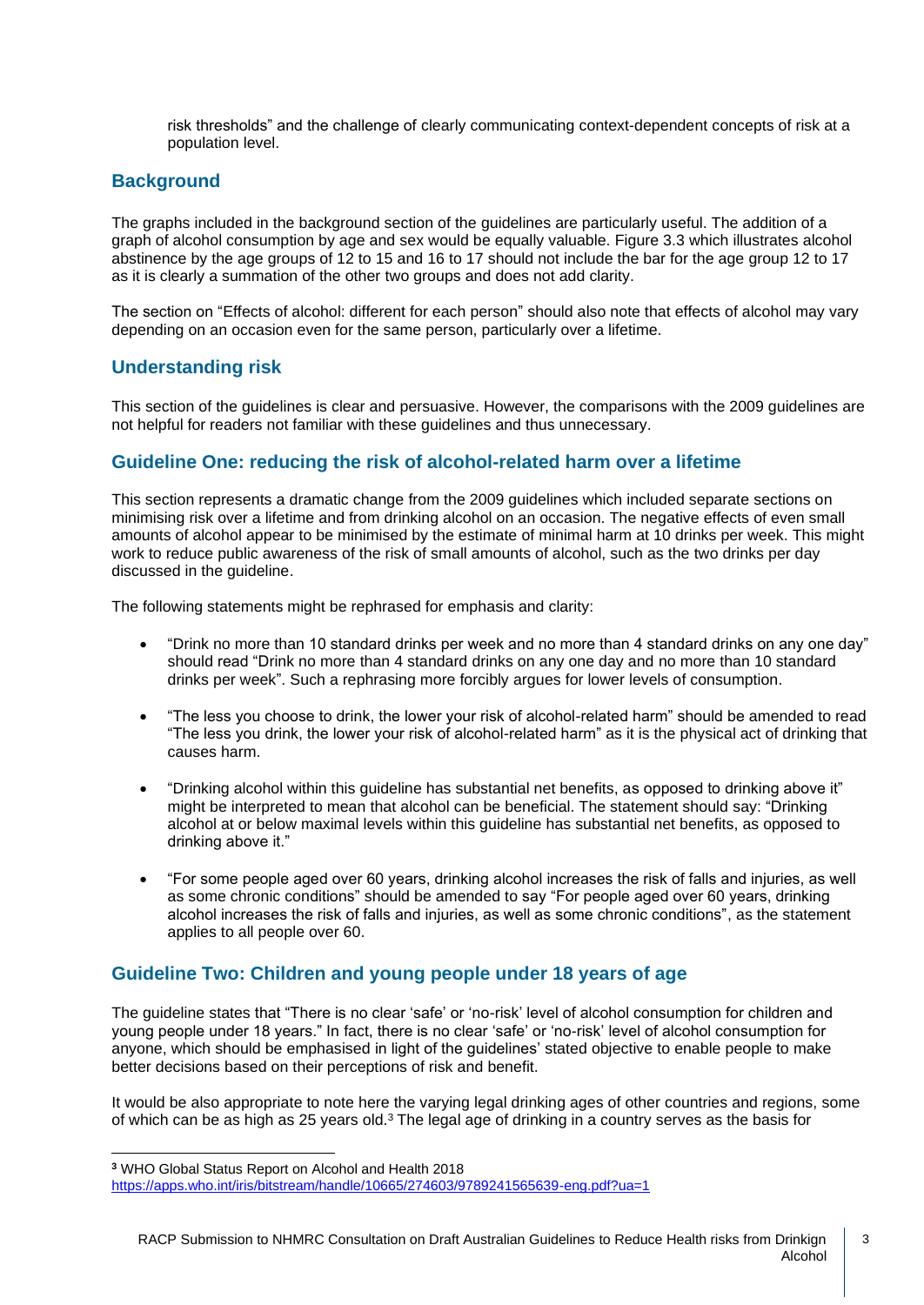risk thresholds" and the challenge of clearly communicating context-dependent concepts of risk at a population level.

## **Background**

The graphs included in the background section of the guidelines are particularly useful. The addition of a graph of alcohol consumption by age and sex would be equally valuable. Figure 3.3 which illustrates alcohol abstinence by the age groups of 12 to 15 and 16 to 17 should not include the bar for the age group 12 to 17 as it is clearly a summation of the other two groups and does not add clarity.

The section on "Effects of alcohol: different for each person" should also note that effects of alcohol may vary depending on an occasion even for the same person, particularly over a lifetime.

### **Understanding risk**

This section of the guidelines is clear and persuasive. However, the comparisons with the 2009 guidelines are not helpful for readers not familiar with these guidelines and thus unnecessary.

#### **Guideline One: reducing the risk of alcohol-related harm over a lifetime**

This section represents a dramatic change from the 2009 guidelines which included separate sections on minimising risk over a lifetime and from drinking alcohol on an occasion. The negative effects of even small amounts of alcohol appear to be minimised by the estimate of minimal harm at 10 drinks per week. This might work to reduce public awareness of the risk of small amounts of alcohol, such as the two drinks per day discussed in the guideline.

The following statements might be rephrased for emphasis and clarity:

- "Drink no more than 10 standard drinks per week and no more than 4 standard drinks on any one day" should read "Drink no more than 4 standard drinks on any one day and no more than 10 standard drinks per week". Such a rephrasing more forcibly argues for lower levels of consumption.
- "The less you choose to drink, the lower your risk of alcohol-related harm" should be amended to read "The less you drink, the lower your risk of alcohol-related harm" as it is the physical act of drinking that causes harm.
- "Drinking alcohol within this guideline has substantial net benefits, as opposed to drinking above it" might be interpreted to mean that alcohol can be beneficial. The statement should say: "Drinking alcohol at or below maximal levels within this guideline has substantial net benefits, as opposed to drinking above it."
- "For some people aged over 60 years, drinking alcohol increases the risk of falls and injuries, as well as some chronic conditions" should be amended to say "For people aged over 60 years, drinking alcohol increases the risk of falls and injuries, as well as some chronic conditions", as the statement applies to all people over 60.

#### **Guideline Two: Children and young people under 18 years of age**

The guideline states that "There is no clear 'safe' or 'no-risk' level of alcohol consumption for children and young people under 18 years." In fact, there is no clear 'safe' or 'no-risk' level of alcohol consumption for anyone, which should be emphasised in light of the guidelines' stated objective to enable people to make better decisions based on their perceptions of risk and benefit.

It would be also appropriate to note here the varying legal drinking ages of other countries and regions, some of which can be as high as 25 years old.<sup>3</sup> The legal age of drinking in a country serves as the basis for

**<sup>3</sup>** WHO [Global Status Report on Alcohol and Health 2018](https://www.who.int/substance_abuse/publications/alcohol_2014/en/)

<https://apps.who.int/iris/bitstream/handle/10665/274603/9789241565639-eng.pdf?ua=1>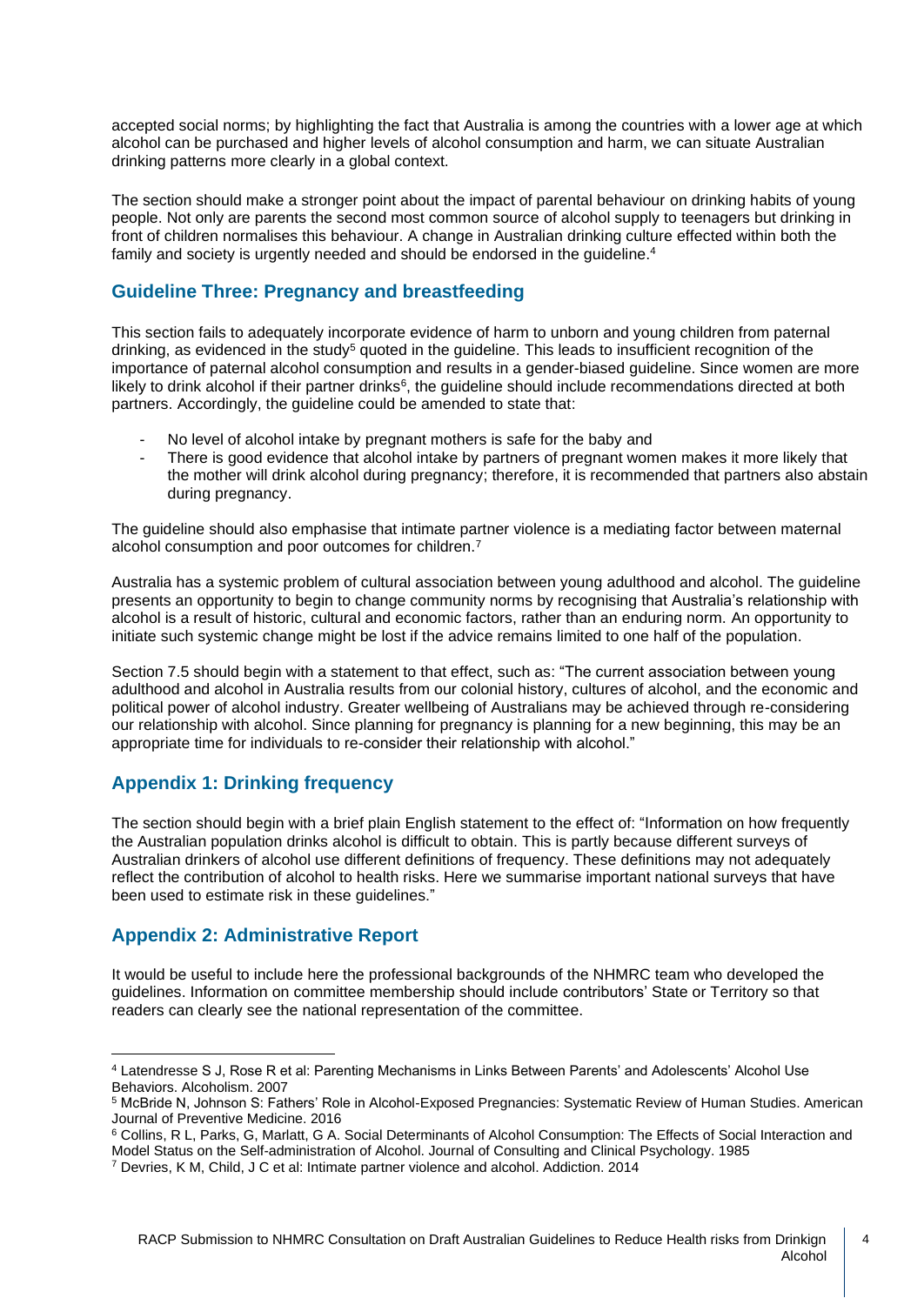accepted social norms; by highlighting the fact that Australia is among the countries with a lower age at which alcohol can be purchased and higher levels of alcohol consumption and harm, we can situate Australian drinking patterns more clearly in a global context.

The section should make a stronger point about the impact of parental behaviour on drinking habits of young people. Not only are parents the second most common source of alcohol supply to teenagers but drinking in front of children normalises this behaviour. A change in Australian drinking culture effected within both the family and society is urgently needed and should be endorsed in the guideline.<sup>4</sup>

## **Guideline Three: Pregnancy and breastfeeding**

This section fails to adequately incorporate evidence of harm to unborn and young children from paternal drinking, as evidenced in the study<sup>5</sup> quoted in the guideline. This leads to insufficient recognition of the importance of paternal alcohol consumption and results in a gender-biased guideline. Since women are more likely to drink alcohol if their partner drinks<sup>6</sup>, the guideline should include recommendations directed at both partners. Accordingly, the guideline could be amended to state that:

- No level of alcohol intake by pregnant mothers is safe for the baby and
- There is good evidence that alcohol intake by partners of pregnant women makes it more likely that the mother will drink alcohol during pregnancy; therefore, it is recommended that partners also abstain during pregnancy.

The guideline should also emphasise that intimate partner violence is a mediating factor between maternal alcohol consumption and poor outcomes for children.<sup>7</sup>

Australia has a systemic problem of cultural association between young adulthood and alcohol. The guideline presents an opportunity to begin to change community norms by recognising that Australia's relationship with alcohol is a result of historic, cultural and economic factors, rather than an enduring norm. An opportunity to initiate such systemic change might be lost if the advice remains limited to one half of the population.

Section 7.5 should begin with a statement to that effect, such as: "The current association between young adulthood and alcohol in Australia results from our colonial history, cultures of alcohol, and the economic and political power of alcohol industry. Greater wellbeing of Australians may be achieved through re-considering our relationship with alcohol. Since planning for pregnancy is planning for a new beginning, this may be an appropriate time for individuals to re-consider their relationship with alcohol."

## **Appendix 1: Drinking frequency**

The section should begin with a brief plain English statement to the effect of: "Information on how frequently the Australian population drinks alcohol is difficult to obtain. This is partly because different surveys of Australian drinkers of alcohol use different definitions of frequency. These definitions may not adequately reflect the contribution of alcohol to health risks. Here we summarise important national surveys that have been used to estimate risk in these guidelines."

## **Appendix 2: Administrative Report**

It would be useful to include here the professional backgrounds of the NHMRC team who developed the guidelines. Information on committee membership should include contributors' State or Territory so that readers can clearly see the national representation of the committee.

<sup>4</sup> Latendresse S J, Rose R et al: Parenting Mechanisms in Links Between Parents' and Adolescents' Alcohol Use Behaviors. Alcoholism. 2007

<sup>5</sup> McBride N, Johnson S: Fathers' Role in Alcohol-Exposed Pregnancies: Systematic Review of Human Studies. American Journal of Preventive Medicine. 2016

<sup>&</sup>lt;sup>6</sup> Collins, R L, Parks, G, Marlatt, G A. Social Determinants of Alcohol Consumption: The Effects of Social Interaction and Model Status on the Self-administration of Alcohol. Journal of Consulting and Clinical Psychology. 1985

<sup>7</sup> Devries, K M, Child, J C et al: Intimate partner violence and alcohol. Addiction. 2014